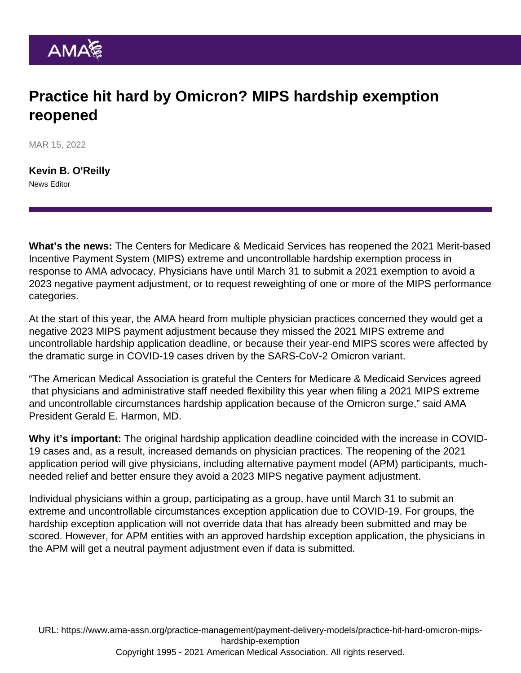## Practice hit hard by Omicron? MIPS hardship exemption reopened

MAR 15, 2022

[Kevin B. O'Reilly](https://www.ama-assn.org/news-leadership-viewpoints/authors-news-leadership-viewpoints/kevin-b-oreilly) News Editor

What's the news: The Centers for Medicare & Medicaid Services has reopened the 2021 [Merit-based](https://www.ama-assn.org/practice-management/payment-delivery-models/understanding-medicare-s-merit-based-incentive-payment) [Incentive Payment System](https://www.ama-assn.org/practice-management/payment-delivery-models/understanding-medicare-s-merit-based-incentive-payment) (MIPS) extreme and uncontrollable hardship exemption process in response to AMA advocacy. Physicians have until March 31 to submit a 2021 exemption to avoid a 2023 negative payment adjustment, or to request reweighting of one or more of the MIPS performance categories.

At the start of this year, the AMA heard from multiple physician practices concerned they would get a negative 2023 MIPS payment adjustment because they missed the 2021 MIPS extreme and uncontrollable hardship application deadline, or because their year-end MIPS scores were affected by the dramatic surge in COVID-19 cases driven by the SARS-CoV-2 Omicron variant.

"The American Medical Association is grateful the Centers for Medicare & Medicaid Services [agreed](https://qpp.cms.gov/mips/exception-applications?py=2021) that physicians and administrative staff needed flexibility this year when filing a 2021 MIPS extreme and uncontrollable circumstances hardship application because of the Omicron surge," said AMA President [Gerald E. Harmon, MD](https://www.ama-assn.org/about/board-trustees/gerald-e-harmon-md).

Why it's important: The original hardship application deadline coincided with the increase in COVID-19 cases and, as a result, increased demands on physician practices. The [reopening of the 2021](https://qpp.cms.gov/mips/exception-applications?py=2021) [application period](https://qpp.cms.gov/mips/exception-applications?py=2021) will give physicians, including alternative payment model (APM) participants, muchneeded relief and better ensure they avoid a 2023 MIPS negative payment adjustment.

Individual physicians within a group, participating as a group, have until March 31 to submit an extreme and uncontrollable circumstances exception application due to COVID-19. For groups, the hardship exception application will not override data that has already been submitted and may be scored. However, for APM entities with an approved hardship exception application, the physicians in the APM will get a neutral payment adjustment even if data is submitted.

URL: [https://www.ama-assn.org/practice-management/payment-delivery-models/practice-hit-hard-omicron-mips](https://www.ama-assn.org/practice-management/payment-delivery-models/practice-hit-hard-omicron-mips-hardship-exemption)[hardship-exemption](https://www.ama-assn.org/practice-management/payment-delivery-models/practice-hit-hard-omicron-mips-hardship-exemption) Copyright 1995 - 2021 American Medical Association. All rights reserved.